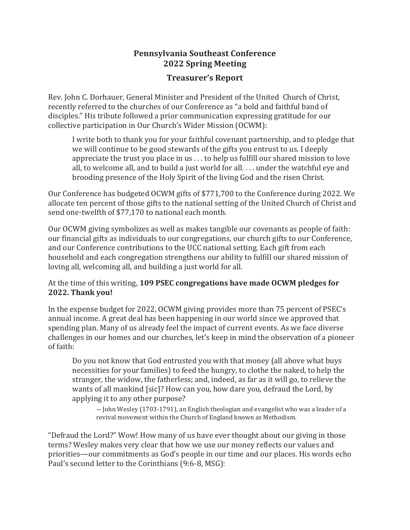# **Pennsylvania Southeast Conference 2022 Spring Meeting**

## **Treasurer's Report**

Rev. John C. Dorhauer, General Minister and President of the United Church of Christ, recently referred to the churches of our Conference as "a bold and faithful band of disciples." His tribute followed a prior communication expressing gratitude for our collective participation in Our Church's Wider Mission (OCWM):

I write both to thank you for your faithful covenant partnership, and to pledge that we will continue to be good stewards of the gifts you entrust to us. I deeply appreciate the trust you place in us . . . to help us fulfill our shared mission to love all, to welcome all, and to build a just world for all. . . . under the watchful eye and brooding presence of the Holy Spirit of the living God and the risen Christ.

Our Conference has budgeted OCWM gifts of \$771,700 to the Conference during 2022. We allocate ten percent of those gifts to the national setting of the United Church of Christ and send one-twelfth of \$77,170 to national each month.

Our OCWM giving symbolizes as well as makes tangible our covenants as people of faith: our financial gifts as individuals to our congregations, our church gifts to our Conference, and our Conference contributions to the UCC national setting. Each gift from each household and each congregation strengthens our ability to fulfill our shared mission of loving all, welcoming all, and building a just world for all.

## At the time of this writing, **109 PSEC congregations have made OCWM pledges for 2022. Thank you!**

In the expense budget for 2022, OCWM giving provides more than 75 percent of PSEC's annual income. A great deal has been happening in our world since we approved that spending plan. Many of us already feel the impact of current events. As we face diverse challenges in our homes and our churches, let's keep in mind the observation of a pioneer of faith:

Do you not know that God entrusted you with that money (all above what buys necessities for your families) to feed the hungry, to clothe the naked, to help the stranger, the widow, the fatherless; and, indeed, as far as it will go, to relieve the wants of all mankind [sic]? How can you, how dare you, defraud the Lord, by applying it to any other purpose?

― John Wesley (1703-1791), an English theologian and evangelist who was a leader of a revival movement within the Church of England known as Methodism.

"Defraud the Lord?" Wow! How many of us have ever thought about our giving in those terms? Wesley makes very clear that how we use our money reflects our values and priorities—our commitments as God's people in our time and our places. His words echo Paul's second letter to the Corinthians (9:6-8, MSG):